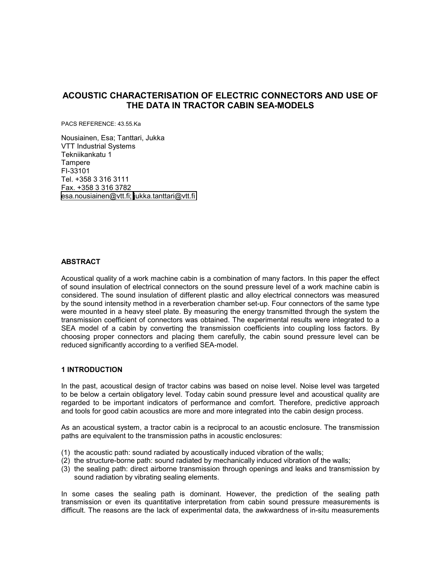# **ACOUSTIC CHARACTERISATION OF ELECTRIC CONNECTORS AND USE OF THE DATA IN TRACTOR CABIN SEA-MODELS**

PACS REFERENCE: 43.55.Ka

Nousiainen, Esa; Tanttari, Jukka VTT Industrial Systems Tekniikankatu 1 **Tampere** FI-33101 Tel. +358 3 316 3111 Fax. +358 3 316 3782 [esa.nousiainen@vtt.fi;](mailto:esa.nousiainen@vtt.fi;) [jukka.tanttari@vtt.fi](mailto:jukka.tanttari@vtt.fi) 

# **ABSTRACT**

Acoustical quality of a work machine cabin is a combination of many factors. In this paper the effect of sound insulation of electrical connectors on the sound pressure level of a work machine cabin is considered. The sound insulation of different plastic and alloy electrical connectors was measured by the sound intensity method in a reverberation chamber set-up. Four connectors of the same type were mounted in a heavy steel plate. By measuring the energy transmitted through the system the transmission coefficient of connectors was obtained. The experimental results were integrated to a SEA model of a cabin by converting the transmission coefficients into coupling loss factors. By choosing proper connectors and placing them carefully, the cabin sound pressure level can be reduced significantly according to a verified SEA-model.

## **1 INTRODUCTION**

In the past, acoustical design of tractor cabins was based on noise level. Noise level was targeted to be below a certain obligatory level. Today cabin sound pressure level and acoustical quality are regarded to be important indicators of performance and comfort. Therefore, predictive approach and tools for good cabin acoustics are more and more integrated into the cabin design process.

As an acoustical system, a tractor cabin is a reciprocal to an acoustic enclosure. The transmission paths are equivalent to the transmission paths in acoustic enclosures:

- (1) the acoustic path: sound radiated by acoustically induced vibration of the walls;
- (2) the structure-borne path: sound radiated by mechanically induced vibration of the walls;
- (3) the sealing path: direct airborne transmission through openings and leaks and transmission by sound radiation by vibrating sealing elements.

In some cases the sealing path is dominant. However, the prediction of the sealing path transmission or even its quantitative interpretation from cabin sound pressure measurements is difficult. The reasons are the lack of experimental data, the awkwardness of in-situ measurements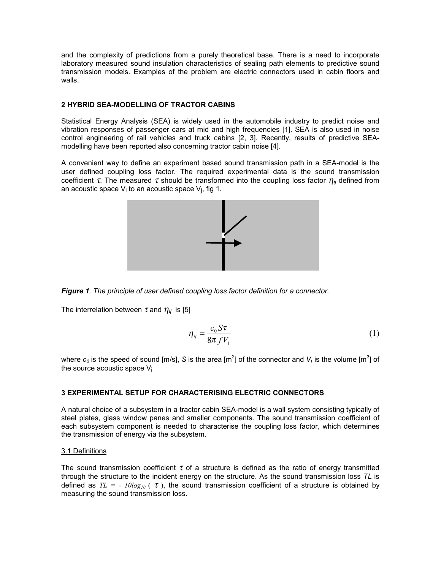and the complexity of predictions from a purely theoretical base. There is a need to incorporate laboratory measured sound insulation characteristics of sealing path elements to predictive sound transmission models. Examples of the problem are electric connectors used in cabin floors and walls.

# **2 HYBRID SEA-MODELLING OF TRACTOR CABINS**

Statistical Energy Analysis (SEA) is widely used in the automobile industry to predict noise and vibration responses of passenger cars at mid and high frequencies [1]. SEA is also used in noise control engineering of rail vehicles and truck cabins [2, 3]. Recently, results of predictive SEAmodelling have been reported also concerning tractor cabin noise [4].

A convenient way to define an experiment based sound transmission path in a SEA-model is the user defined coupling loss factor. The required experimental data is the sound transmission coefficient  $\tau$ . The measured  $\tau$  should be transformed into the coupling loss factor  $\eta_{ij}$  defined from an acoustic space  $V_i$  to an acoustic space  $V_i$ , fig 1.





The interrelation between  $\tau$  and  $\eta_{ii}$  is [5]

$$
\eta_{ij} = \frac{c_0 S \tau}{8 \pi f V_i} \tag{1}
$$

where  $c_0$  is the speed of sound [m/s], S is the area [m<sup>2</sup>] of the connector and  $V_i$  is the volume [m<sup>3</sup>] of the source acoustic space  $V_i$ 

## **3 EXPERIMENTAL SETUP FOR CHARACTERISING ELECTRIC CONNECTORS**

A natural choice of a subsystem in a tractor cabin SEA-model is a wall system consisting typically of steel plates, glass window panes and smaller components. The sound transmission coefficient of each subsystem component is needed to characterise the coupling loss factor, which determines the transmission of energy via the subsystem.

## 3.1 Definitions

The sound transmission coefficient  $\tau$  of a structure is defined as the ratio of energy transmitted through the structure to the incident energy on the structure. As the sound transmission loss *TL* is defined as  $TL = -10\log_{10}$  ( $\tau$ ), the sound transmission coefficient of a structure is obtained by measuring the sound transmission loss.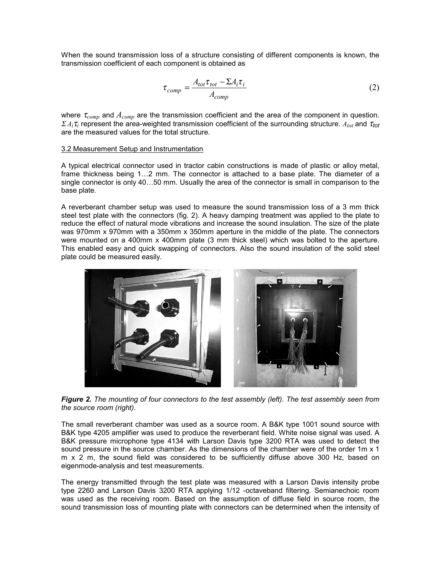When the sound transmission loss of a structure consisting of different components is known, the transmission coefficient of each component is obtained as

$$
\tau_{comp} = \frac{A_{tot}\tau_{tot} - \Sigma A_i \tau_i}{A_{comp}}
$$
\n(2)

where <sup>τ</sup>*comp* and *Acomp* are the transmission coefficient and the area of the component in question. <sup>Σ</sup>*Ai*<sup>τ</sup>*i* represent the area-weighted transmission coefficient of the surrounding structure. *Atot* and <sup>τ</sup>*tot* are the measured values for the total structure.

## 3.2 Measurement Setup and Instrumentation

A typical electrical connector used in tractor cabin constructions is made of plastic or alloy metal, frame thickness being 1…2 mm. The connector is attached to a base plate. The diameter of a single connector is only 40…50 mm. Usually the area of the connector is small in comparison to the base plate.

A reverberant chamber setup was used to measure the sound transmission loss of a 3 mm thick steel test plate with the connectors (fig. 2). A heavy damping treatment was applied to the plate to reduce the effect of natural mode vibrations and increase the sound insulation. The size of the plate was 970mm x 970mm with a 350mm x 350mm aperture in the middle of the plate. The connectors were mounted on a 400mm x 400mm plate (3 mm thick steel) which was bolted to the aperture. This enabled easy and quick swapping of connectors. Also the sound insulation of the solid steel plate could be measured easily.



*Figure 2. The mounting of four connectors to the test assembly (left). The test assembly seen from the source room (right).* 

The small reverberant chamber was used as a source room. A B&K type 1001 sound source with B&K type 4205 amplifier was used to produce the reverberant field. White noise signal was used. A B&K pressure microphone type 4134 with Larson Davis type 3200 RTA was used to detect the sound pressure in the source chamber. As the dimensions of the chamber were of the order 1m x 1 m x 2 m, the sound field was considered to be sufficiently diffuse above 300 Hz, based on eigenmode-analysis and test measurements.

The energy transmitted through the test plate was measured with a Larson Davis intensity probe type 2260 and Larson Davis 3200 RTA applying 1/12 -octaveband filtering. Semianechoic room was used as the receiving room. Based on the assumption of diffuse field in source room, the sound transmission loss of mounting plate with connectors can be determined when the intensity of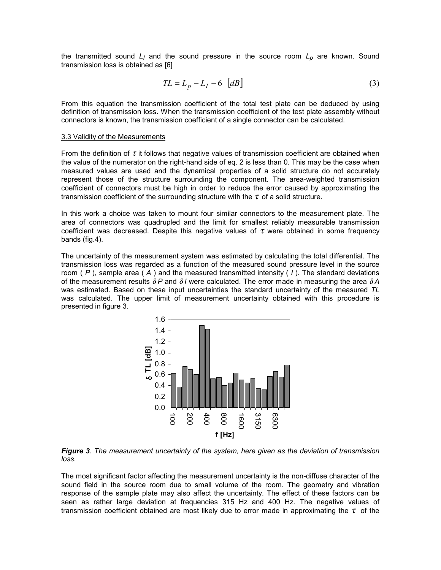the transmitted sound  $L_1$  and the sound pressure in the source room  $L_p$  are known. Sound transmission loss is obtained as [6]

$$
TL = L_p - L_I - 6 \quad [dB] \tag{3}
$$

From this equation the transmission coefficient of the total test plate can be deduced by using definition of transmission loss. When the transmission coefficient of the test plate assembly without connectors is known, the transmission coefficient of a single connector can be calculated.

#### 3.3 Validity of the Measurements

From the definition of  $\tau$  it follows that negative values of transmission coefficient are obtained when the value of the numerator on the right-hand side of eq. 2 is less than 0. This may be the case when measured values are used and the dynamical properties of a solid structure do not accurately represent those of the structure surrounding the component. The area-weighted transmission coefficient of connectors must be high in order to reduce the error caused by approximating the transmission coefficient of the surrounding structure with the  $\tau$  of a solid structure.

In this work a choice was taken to mount four similar connectors to the measurement plate. The area of connectors was quadrupled and the limit for smallest reliably measurable transmission coefficient was decreased. Despite this negative values of  $\tau$  were obtained in some frequency bands (fig.4).

The uncertainty of the measurement system was estimated by calculating the total differential. The transmission loss was regarded as a function of the measured sound pressure level in the source room ( *P* ), sample area ( *A* ) and the measured transmitted intensity ( *I* ). The standard deviations of the measurement results δ *P* and δ *I* were calculated. The error made in measuring the area δ *A*  was estimated. Based on these input uncertainties the standard uncertainty of the measured *TL* was calculated. The upper limit of measurement uncertainty obtained with this procedure is presented in figure 3.



*Figure 3. The measurement uncertainty of the system, here given as the deviation of transmission loss.* 

The most significant factor affecting the measurement uncertainty is the non-diffuse character of the sound field in the source room due to small volume of the room. The geometry and vibration response of the sample plate may also affect the uncertainty. The effect of these factors can be seen as rather large deviation at frequencies 315 Hz and 400 Hz. The negative values of transmission coefficient obtained are most likely due to error made in approximating the  $\tau$  of the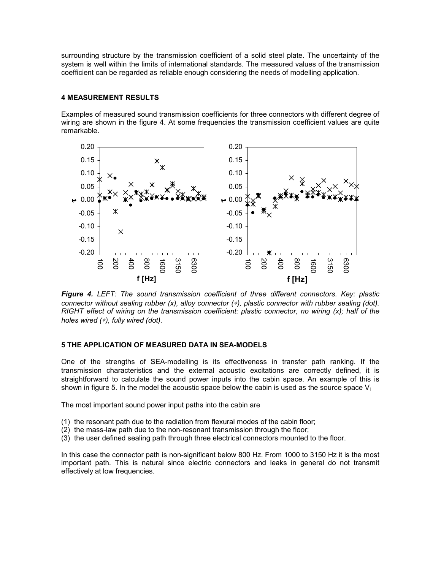surrounding structure by the transmission coefficient of a solid steel plate. The uncertainty of the system is well within the limits of international standards. The measured values of the transmission coefficient can be regarded as reliable enough considering the needs of modelling application.

# **4 MEASUREMENT RESULTS**

Examples of measured sound transmission coefficients for three connectors with different degree of wiring are shown in the figure 4. At some frequencies the transmission coefficient values are quite remarkable.



*Figure 4. LEFT: The sound transmission coefficient of three different connectors. Key: plastic connector without sealing rubber (x), alloy connector (*∗*), plastic connector with rubber sealing (dot). RIGHT effect of wiring on the transmission coefficient: plastic connector, no wiring (x); half of the holes wired (*∗*), fully wired (dot).* 

# **5 THE APPLICATION OF MEASURED DATA IN SEA-MODELS**

One of the strengths of SEA-modelling is its effectiveness in transfer path ranking. If the transmission characteristics and the external acoustic excitations are correctly defined, it is straightforward to calculate the sound power inputs into the cabin space. An example of this is shown in figure 5. In the model the acoustic space below the cabin is used as the source space  $V_i$ 

The most important sound power input paths into the cabin are

- (1) the resonant path due to the radiation from flexural modes of the cabin floor;
- (2) the mass-law path due to the non-resonant transmission through the floor;
- (3) the user defined sealing path through three electrical connectors mounted to the floor.

In this case the connector path is non-significant below 800 Hz. From 1000 to 3150 Hz it is the most important path. This is natural since electric connectors and leaks in general do not transmit effectively at low frequencies.